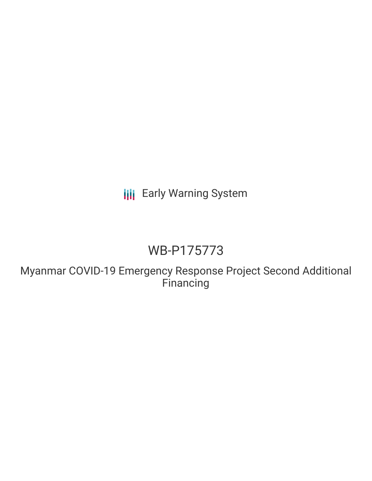**III** Early Warning System

# WB-P175773

Myanmar COVID-19 Emergency Response Project Second Additional Financing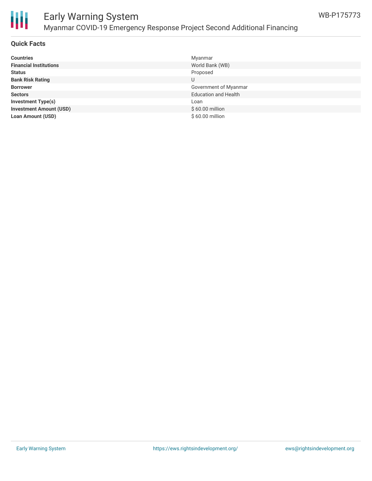



#### **Quick Facts**

| <b>Countries</b>               | Myanmar                     |
|--------------------------------|-----------------------------|
| <b>Financial Institutions</b>  | World Bank (WB)             |
| <b>Status</b>                  | Proposed                    |
| <b>Bank Risk Rating</b>        | U                           |
| <b>Borrower</b>                | Government of Myanmar       |
| <b>Sectors</b>                 | <b>Education and Health</b> |
| <b>Investment Type(s)</b>      | Loan                        |
| <b>Investment Amount (USD)</b> | $$60.00$ million            |
| <b>Loan Amount (USD)</b>       | $$60.00$ million            |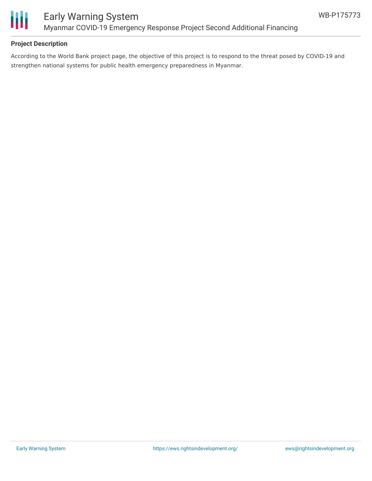

## **Project Description**

According to the World Bank project page, the objective of this project is to respond to the threat posed by COVID-19 and strengthen national systems for public health emergency preparedness in Myanmar.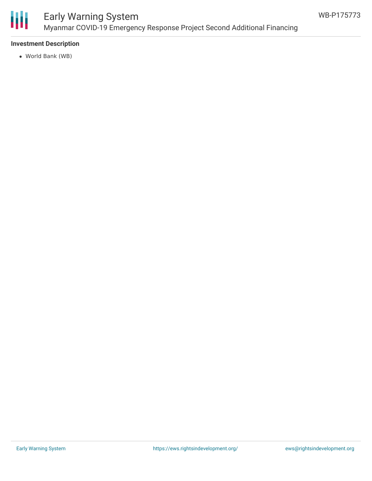

### **Investment Description**

World Bank (WB)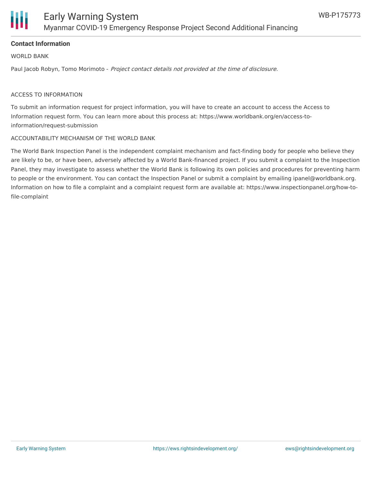

### **Contact Information**

WORLD BANK

Paul Jacob Robyn, Tomo Morimoto - Project contact details not provided at the time of disclosure.

#### ACCESS TO INFORMATION

To submit an information request for project information, you will have to create an account to access the Access to Information request form. You can learn more about this process at: https://www.worldbank.org/en/access-toinformation/request-submission

#### ACCOUNTABILITY MECHANISM OF THE WORLD BANK

The World Bank Inspection Panel is the independent complaint mechanism and fact-finding body for people who believe they are likely to be, or have been, adversely affected by a World Bank-financed project. If you submit a complaint to the Inspection Panel, they may investigate to assess whether the World Bank is following its own policies and procedures for preventing harm to people or the environment. You can contact the Inspection Panel or submit a complaint by emailing ipanel@worldbank.org. Information on how to file a complaint and a complaint request form are available at: https://www.inspectionpanel.org/how-tofile-complaint